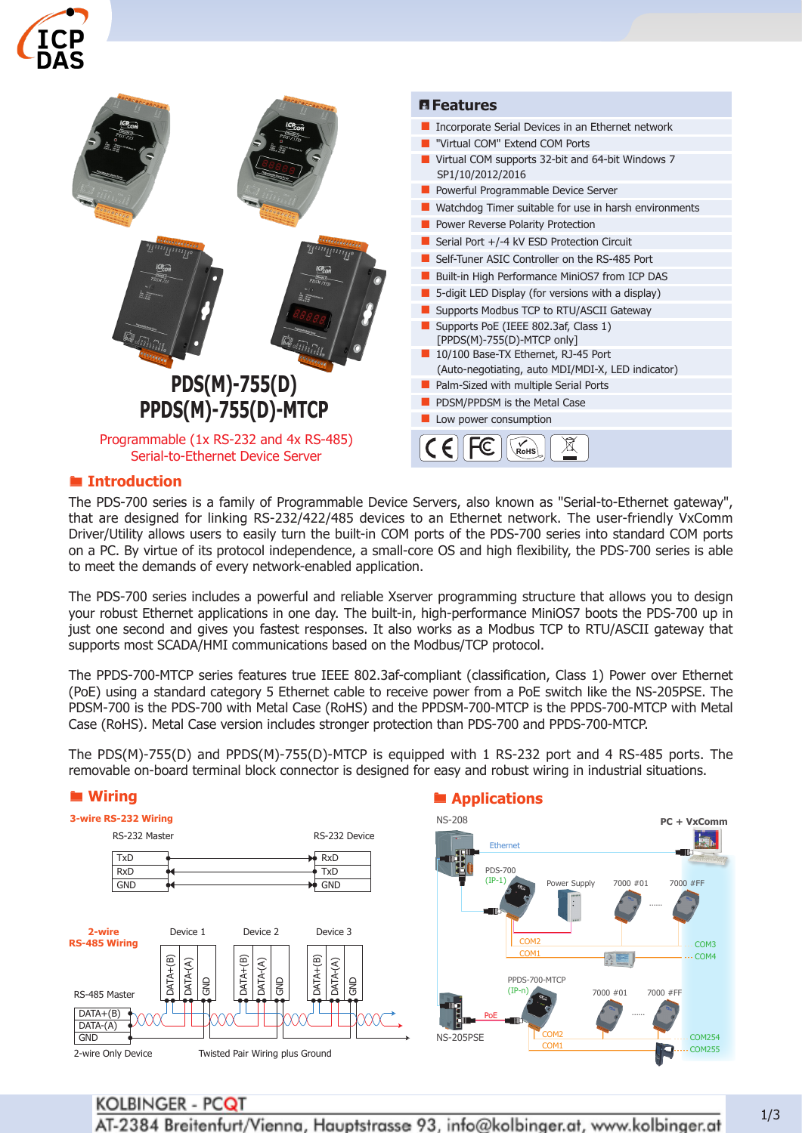



### ® **Introduction**

The PDS-700 series is a family of Programmable Device Servers, also known as "Serial-to-Ethernet gateway", that are designed for linking RS-232/422/485 devices to an Ethernet network. The user-friendly VxComm Driver/Utility allows users to easily turn the built-in COM ports of the PDS-700 series into standard COM ports on a PC. By virtue of its protocol independence, a small-core OS and high flexibility, the PDS-700 series is able to meet the demands of every network-enabled application.

The PDS-700 series includes a powerful and reliable Xserver programming structure that allows you to design your robust Ethernet applications in one day. The built-in, high-performance MiniOS7 boots the PDS-700 up in just one second and gives you fastest responses. It also works as a Modbus TCP to RTU/ASCII gateway that supports most SCADA/HMI communications based on the Modbus/TCP protocol.

The PPDS-700-MTCP series features true IEEE 802.3af-compliant (classification, Class 1) Power over Ethernet (PoE) using a standard category 5 Ethernet cable to receive power from a PoE switch like the NS-205PSE. The PDSM-700 is the PDS-700 with Metal Case (RoHS) and the PPDSM-700-MTCP is the PPDS-700-MTCP with Metal Case (RoHS). Metal Case version includes stronger protection than PDS-700 and PPDS-700-MTCP.

The PDS(M)-755(D) and PPDS(M)-755(D)-MTCP is equipped with 1 RS-232 port and 4 RS-485 ports. The removable on-board terminal block connector is designed for easy and robust wiring in industrial situations.



<u>KOLBINGER - PC**QT** PORT</u><br>AT-2384 Breitenfurt/Vienna, Hauptstrasse 93, info@kolbinger.at, www.kolbinger.at 2/3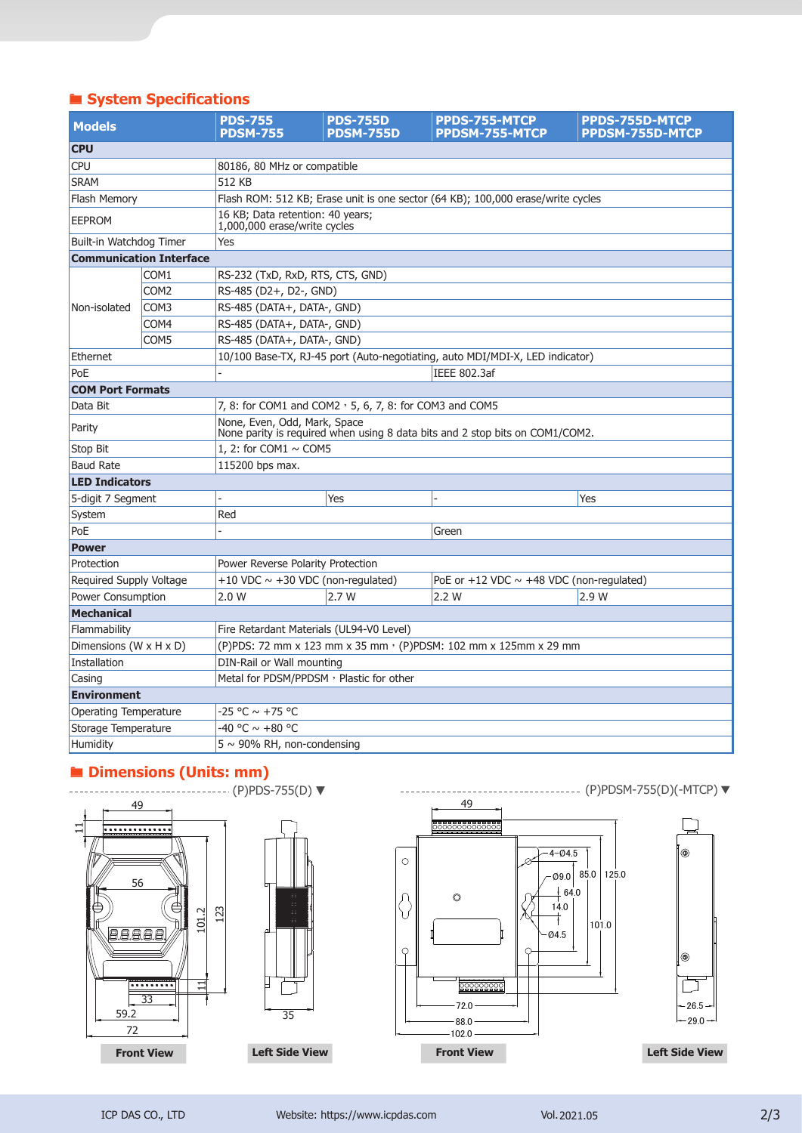### ® **System Specifications**

| <b>Models</b>                  |                                | <b>PDS-755</b><br><b>PDSM-755</b>                                                                            | <b>PDS-755D</b><br><b>PDSM-755D</b> | PPDS-755-MTCP<br><b>PPDSM-755-MTCP</b>        | <b>PPDS-755D-MTCP</b><br>PPDSM-755D-MTCP |  |  |
|--------------------------------|--------------------------------|--------------------------------------------------------------------------------------------------------------|-------------------------------------|-----------------------------------------------|------------------------------------------|--|--|
| <b>CPU</b>                     |                                |                                                                                                              |                                     |                                               |                                          |  |  |
| <b>CPU</b>                     |                                | 80186, 80 MHz or compatible                                                                                  |                                     |                                               |                                          |  |  |
| <b>SRAM</b>                    |                                | 512 KB                                                                                                       |                                     |                                               |                                          |  |  |
| <b>Flash Memory</b>            |                                | Flash ROM: 512 KB; Erase unit is one sector (64 KB); 100,000 erase/write cycles                              |                                     |                                               |                                          |  |  |
| <b>EEPROM</b>                  |                                | 16 KB; Data retention: 40 years;<br>1,000,000 erase/write cycles                                             |                                     |                                               |                                          |  |  |
| Built-in Watchdog Timer        |                                | Yes                                                                                                          |                                     |                                               |                                          |  |  |
|                                | <b>Communication Interface</b> |                                                                                                              |                                     |                                               |                                          |  |  |
|                                | COM1                           | RS-232 (TxD, RxD, RTS, CTS, GND)                                                                             |                                     |                                               |                                          |  |  |
|                                | COM <sub>2</sub>               | RS-485 (D2+, D2-, GND)                                                                                       |                                     |                                               |                                          |  |  |
| Non-isolated                   | COM <sub>3</sub>               | RS-485 (DATA+, DATA-, GND)                                                                                   |                                     |                                               |                                          |  |  |
|                                | COM4                           | RS-485 (DATA+, DATA-, GND)                                                                                   |                                     |                                               |                                          |  |  |
|                                | COM5                           | RS-485 (DATA+, DATA-, GND)                                                                                   |                                     |                                               |                                          |  |  |
| Ethernet                       |                                | 10/100 Base-TX, RJ-45 port (Auto-negotiating, auto MDI/MDI-X, LED indicator)                                 |                                     |                                               |                                          |  |  |
| PoE                            |                                |                                                                                                              |                                     | IEEE 802.3af                                  |                                          |  |  |
| <b>COM Port Formats</b>        |                                |                                                                                                              |                                     |                                               |                                          |  |  |
| Data Bit                       |                                | 7, 8: for COM1 and COM2 $\cdot$ 5, 6, 7, 8: for COM3 and COM5                                                |                                     |                                               |                                          |  |  |
| Parity                         |                                | None, Even, Odd, Mark, Space<br>None parity is required when using 8 data bits and 2 stop bits on COM1/COM2. |                                     |                                               |                                          |  |  |
| Stop Bit                       |                                | 1, 2: for COM1 $\sim$ COM5                                                                                   |                                     |                                               |                                          |  |  |
| <b>Baud Rate</b>               |                                | 115200 bps max.                                                                                              |                                     |                                               |                                          |  |  |
| <b>LED Indicators</b>          |                                |                                                                                                              |                                     |                                               |                                          |  |  |
| 5-digit 7 Segment              |                                |                                                                                                              | Yes                                 |                                               | Yes                                      |  |  |
| System                         |                                | Red                                                                                                          |                                     |                                               |                                          |  |  |
| PoE                            |                                |                                                                                                              |                                     | Green                                         |                                          |  |  |
| <b>Power</b>                   |                                |                                                                                                              |                                     |                                               |                                          |  |  |
| Protection                     |                                | Power Reverse Polarity Protection                                                                            |                                     |                                               |                                          |  |  |
| <b>Required Supply Voltage</b> |                                | +10 VDC $\sim$ +30 VDC (non-regulated)                                                                       |                                     | PoE or +12 VDC $\sim$ +48 VDC (non-regulated) |                                          |  |  |
| Power Consumption              |                                | 2.0 W                                                                                                        | 2.7W                                | 2.2W                                          | 2.9W                                     |  |  |
| <b>Mechanical</b>              |                                |                                                                                                              |                                     |                                               |                                          |  |  |
| Flammability                   |                                | Fire Retardant Materials (UL94-V0 Level)                                                                     |                                     |                                               |                                          |  |  |
| Dimensions (W x H x D)         |                                | (P)PDS: 72 mm x 123 mm x 35 mm · (P)PDSM: 102 mm x 125mm x 29 mm                                             |                                     |                                               |                                          |  |  |
| Installation                   |                                | DIN-Rail or Wall mounting                                                                                    |                                     |                                               |                                          |  |  |
| Casing                         |                                | Metal for PDSM/PPDSM, Plastic for other                                                                      |                                     |                                               |                                          |  |  |
| <b>Environment</b>             |                                |                                                                                                              |                                     |                                               |                                          |  |  |
| Operating Temperature          |                                | -25 °C ~ +75 °C                                                                                              |                                     |                                               |                                          |  |  |
| Storage Temperature            |                                | -40 °C $\sim$ +80 °C                                                                                         |                                     |                                               |                                          |  |  |
| Humidity                       |                                | $5 \sim 90\%$ RH, non-condensing                                                                             |                                     |                                               |                                          |  |  |

# ® **Dimensions (Units: mm)**